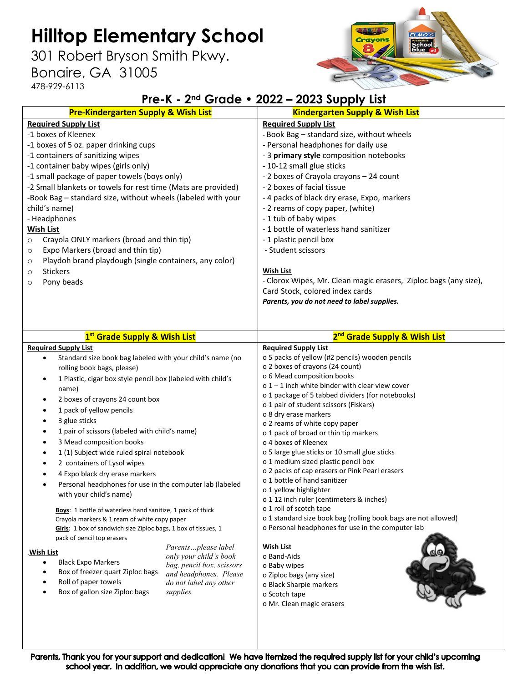# **Hilltop Elementary School**

301 Robert Bryson Smith Pkwy.

### Bonaire, GA 31005

478-929-6113



#### **Pre-K - 2nd Grade • 2022 – 2023 Supply List**

| <b>Pre-Kindergarten Supply &amp; Wish List</b>                           |                                               | <b>Kindergarten Supply &amp; Wish List</b>                       |
|--------------------------------------------------------------------------|-----------------------------------------------|------------------------------------------------------------------|
| <b>Required Supply List</b>                                              |                                               | <b>Required Supply List</b>                                      |
| -1 boxes of Kleenex                                                      |                                               | - Book Bag - standard size, without wheels                       |
| -1 boxes of 5 oz. paper drinking cups                                    |                                               | - Personal headphones for daily use                              |
| -1 containers of sanitizing wipes                                        |                                               | - 3 primary style composition notebooks                          |
| -1 container baby wipes (girls only)                                     |                                               | - 10-12 small glue sticks                                        |
| -1 small package of paper towels (boys only)                             |                                               | - 2 boxes of Crayola crayons - 24 count                          |
| -2 Small blankets or towels for rest time (Mats are provided)            |                                               | - 2 boxes of facial tissue                                       |
| -Book Bag - standard size, without wheels (labeled with your             |                                               | - 4 packs of black dry erase, Expo, markers                      |
| child's name)                                                            |                                               | - 2 reams of copy paper, (white)                                 |
| - Headphones                                                             |                                               | - 1 tub of baby wipes                                            |
| <b>Wish List</b>                                                         |                                               | - 1 bottle of waterless hand sanitizer                           |
| Crayola ONLY markers (broad and thin tip)<br>$\circ$                     |                                               | - 1 plastic pencil box                                           |
| Expo Markers (broad and thin tip)<br>$\circ$                             |                                               | - Student scissors                                               |
| Playdoh brand playdough (single containers, any color)<br>$\circ$        |                                               |                                                                  |
| <b>Stickers</b><br>$\circ$                                               |                                               | <b>Wish List</b>                                                 |
| Pony beads<br>$\circ$                                                    |                                               | - Clorox Wipes, Mr. Clean magic erasers, Ziploc bags (any size), |
|                                                                          |                                               | Card Stock, colored index cards                                  |
|                                                                          |                                               | Parents, you do not need to label supplies.                      |
|                                                                          |                                               |                                                                  |
|                                                                          |                                               |                                                                  |
| 1 <sup>st</sup> Grade Supply & Wish List                                 |                                               | 2 <sup>nd</sup> Grade Supply & Wish List                         |
| <b>Required Supply List</b>                                              |                                               | <b>Required Supply List</b>                                      |
| Standard size book bag labeled with your child's name (no<br>$\bullet$   |                                               | o 5 packs of yellow (#2 pencils) wooden pencils                  |
| rolling book bags, please)                                               |                                               | o 2 boxes of crayons (24 count)                                  |
| 1 Plastic, cigar box style pencil box (labeled with child's<br>$\bullet$ |                                               | o 6 Mead composition books                                       |
| name)                                                                    |                                               | $o$ 1 – 1 inch white binder with clear view cover                |
|                                                                          |                                               |                                                                  |
| 2 boxes of crayons 24 count box<br>$\bullet$                             |                                               | o 1 package of 5 tabbed dividers (for notebooks)                 |
| 1 pack of yellow pencils<br>$\bullet$                                    |                                               | o 1 pair of student scissors (Fiskars)                           |
| 3 glue sticks<br>$\bullet$                                               |                                               | o 8 dry erase markers                                            |
| 1 pair of scissors (labeled with child's name)<br>٠                      |                                               | o 2 reams of white copy paper                                    |
| 3 Mead composition books<br>$\bullet$                                    |                                               | o 1 pack of broad or thin tip markers<br>o 4 boxes of Kleenex    |
| 1 (1) Subject wide ruled spiral notebook<br>٠                            |                                               | o 5 large glue sticks or 10 small glue sticks                    |
| 2 containers of Lysol wipes<br>٠                                         |                                               | o 1 medium sized plastic pencil box                              |
| 4 Expo black dry erase markers                                           |                                               | o 2 packs of cap erasers or Pink Pearl erasers                   |
| $\bullet$                                                                |                                               | o 1 bottle of hand sanitizer                                     |
| Personal headphones for use in the computer lab (labeled                 |                                               | o 1 yellow highlighter                                           |
| with your child's name)                                                  |                                               | o 1 12 inch ruler (centimeters & inches)                         |
| Boys: 1 bottle of waterless hand sanitize, 1 pack of thick               |                                               | o 1 roll of scotch tape                                          |
| Crayola markers & 1 ream of white copy paper                             |                                               | o 1 standard size book bag (rolling book bags are not allowed)   |
| Girls: 1 box of sandwich size Ziploc bags, 1 box of tissues, 1           |                                               | o Personal headphones for use in the computer lab                |
| pack of pencil top erasers                                               |                                               |                                                                  |
| .Wish List                                                               | Parentsplease label<br>only your child's book | Wish List<br>o Band-Aids                                         |
| <b>Black Expo Markers</b><br>٠                                           | bag, pencil box, scissors                     | o Baby wipes                                                     |
| Box of freezer quart Ziploc bags<br>$\bullet$                            | and headphones. Please                        | o Ziploc bags (any size)                                         |
| Roll of paper towels<br>$\bullet$                                        | do not label any other                        | o Black Sharpie markers                                          |
| Box of gallon size Ziploc bags<br>supplies.<br>$\bullet$                 |                                               | o Scotch tape                                                    |
|                                                                          |                                               | o Mr. Clean magic erasers                                        |
|                                                                          |                                               |                                                                  |
|                                                                          |                                               |                                                                  |

Parents, Thank you for your support and dedication! We have itemized the required supply list for your child's upcoming school year. In addition, we would appreciate any donations that you can provide from the wish list.